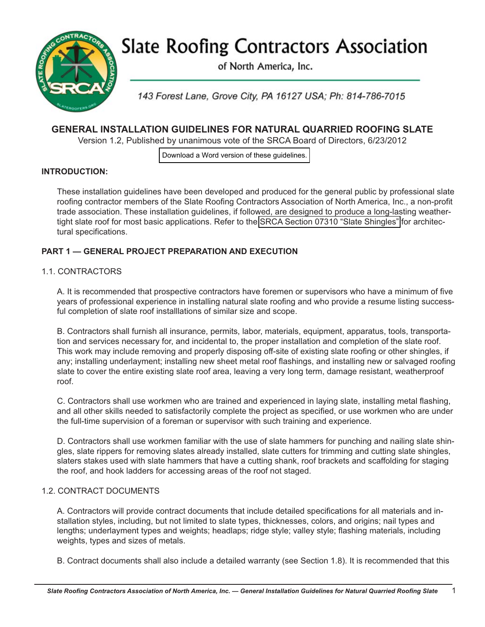**Slate Roofing Contractors Association** 



of North America, Inc.

143 Forest Lane, Grove City, PA 16127 USA; Ph: 814-786-7015

# **GENERAL INSTALLATION GUIDELINES FOR NATURAL QUARRIED ROOFING SLATE**

Version 1.2, Published by unanimous vote of the SRCA Board of Directors, 6/23/2012

[Download a Word version of these guidelines.](http://slateroofers.org/downloads/General_Installation_Guidelines.docx)

# **INTRODUCTION:**

These installation guidelines have been developed and produced for the general public by professional slate roofing contractor members of the Slate Roofing Contractors Association of North America, Inc., a non-profit trade association. These installation guidelines, if followed, are designed to produce a long-lasting weathertight slate roof for most basic applications. Refer to the [SRCA Section 07310 "Slate Shingles"](http://slateroofers.org/downloads/07310_SLATE_SHINGLES.pdf) for architectural specifications.

# **PART 1 — GENERAL PROJECT PREPARATION AND EXECUTION**

### 1.1. CONTRACTORS

A. It is recommended that prospective contractors have foremen or supervisors who have a minimum of five years of professional experience in installing natural slate roofing and who provide a resume listing successful completion of slate roof installlations of similar size and scope.

B. Contractors shall furnish all insurance, permits, labor, materials, equipment, apparatus, tools, transportation and services necessary for, and incidental to, the proper installation and completion of the slate roof. This work may include removing and properly disposing off-site of existing slate roofing or other shingles, if any; installing underlayment; installing new sheet metal roof flashings, and installing new or salvaged roofing slate to cover the entire existing slate roof area, leaving a very long term, damage resistant, weatherproof roof.

C. Contractors shall use workmen who are trained and experienced in laying slate, installing metal flashing, and all other skills needed to satisfactorily complete the project as specified, or use workmen who are under the full-time supervision of a foreman or supervisor with such training and experience.

D. Contractors shall use workmen familiar with the use of slate hammers for punching and nailing slate shingles, slate rippers for removing slates already installed, slate cutters for trimming and cutting slate shingles, slaters stakes used with slate hammers that have a cutting shank, roof brackets and scaffolding for staging the roof, and hook ladders for accessing areas of the roof not staged.

### 1.2. CONTRACT DOCUMENTS

A. Contractors will provide contract documents that include detailed specifications for all materials and installation styles, including, but not limited to slate types, thicknesses, colors, and origins; nail types and lengths; underlayment types and weights; headlaps; ridge style; valley style; flashing materials, including weights, types and sizes of metals.

B. Contract documents shall also include a detailed warranty (see Section 1.8). It is recommended that this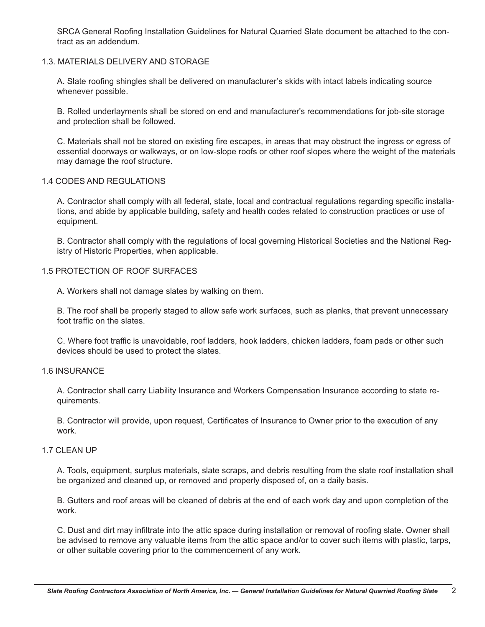SRCA General Roofing Installation Guidelines for Natural Quarried Slate document be attached to the contract as an addendum.

#### 1.3. MATERIALS DELIVERY AND STORAGE

A. Slate roofing shingles shall be delivered on manufacturer's skids with intact labels indicating source whenever possible.

B. Rolled underlayments shall be stored on end and manufacturer's recommendations for job-site storage and protection shall be followed.

C. Materials shall not be stored on existing fire escapes, in areas that may obstruct the ingress or egress of essential doorways or walkways, or on low-slope roofs or other roof slopes where the weight of the materials may damage the roof structure.

#### 1.4 CODES AND REGULATIONS

A. Contractor shall comply with all federal, state, local and contractual regulations regarding specific installations, and abide by applicable building, safety and health codes related to construction practices or use of equipment.

B. Contractor shall comply with the regulations of local governing Historical Societies and the National Registry of Historic Properties, when applicable.

#### 1.5 PROTECTION OF ROOF SURFACES

A. Workers shall not damage slates by walking on them.

B. The roof shall be properly staged to allow safe work surfaces, such as planks, that prevent unnecessary foot traffic on the slates.

C. Where foot traffic is unavoidable, roof ladders, hook ladders, chicken ladders, foam pads or other such devices should be used to protect the slates.

#### 1.6 INSURANCE

A. Contractor shall carry Liability Insurance and Workers Compensation Insurance according to state requirements.

B. Contractor will provide, upon request, Certificates of Insurance to Owner prior to the execution of any work.

### 1.7 CLEAN UP

A. Tools, equipment, surplus materials, slate scraps, and debris resulting from the slate roof installation shall be organized and cleaned up, or removed and properly disposed of, on a daily basis.

B. Gutters and roof areas will be cleaned of debris at the end of each work day and upon completion of the work.

C. Dust and dirt may infiltrate into the attic space during installation or removal of roofing slate. Owner shall be advised to remove any valuable items from the attic space and/or to cover such items with plastic, tarps, or other suitable covering prior to the commencement of any work.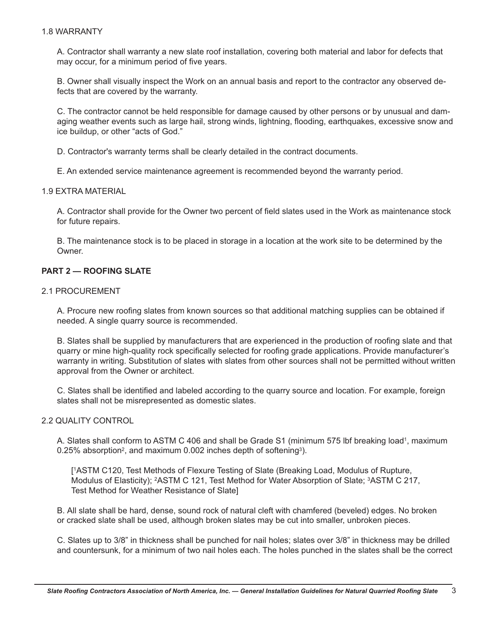#### 1.8 WARRANTY

A. Contractor shall warranty a new slate roof installation, covering both material and labor for defects that may occur, for a minimum period of five years.

B. Owner shall visually inspect the Work on an annual basis and report to the contractor any observed defects that are covered by the warranty.

C. The contractor cannot be held responsible for damage caused by other persons or by unusual and damaging weather events such as large hail, strong winds, lightning, flooding, earthquakes, excessive snow and ice buildup, or other "acts of God."

D. Contractor's warranty terms shall be clearly detailed in the contract documents.

E. An extended service maintenance agreement is recommended beyond the warranty period.

#### 1.9 EXTRA MATERIAL

A. Contractor shall provide for the Owner two percent of field slates used in the Work as maintenance stock for future repairs.

B. The maintenance stock is to be placed in storage in a location at the work site to be determined by the Owner.

#### **PART 2 — ROOFING SLATE**

#### 2.1 PROCUREMENT

A. Procure new roofing slates from known sources so that additional matching supplies can be obtained if needed. A single quarry source is recommended.

B. Slates shall be supplied by manufacturers that are experienced in the production of roofing slate and that quarry or mine high-quality rock specifically selected for roofing grade applications. Provide manufacturer's warranty in writing. Substitution of slates with slates from other sources shall not be permitted without written approval from the Owner or architect.

C. Slates shall be identified and labeled according to the quarry source and location. For example, foreign slates shall not be misrepresented as domestic slates.

### 2.2 QUALITY CONTROL

A. Slates shall conform to ASTM C 406 and shall be Grade S1 (minimum 575 lbf breaking load1, maximum 0.25% absorption<sup>2</sup>, and maximum 0.002 inches depth of softening<sup>3</sup>).

[ 1ASTM C120, Test Methods of Flexure Testing of Slate (Breaking Load, Modulus of Rupture, Modulus of Elasticity); <sup>2</sup>ASTM C 121, Test Method for Water Absorption of Slate; <sup>3</sup>ASTM C 217, Test Method for Weather Resistance of Slate]

B. All slate shall be hard, dense, sound rock of natural cleft with chamfered (beveled) edges. No broken or cracked slate shall be used, although broken slates may be cut into smaller, unbroken pieces.

C. Slates up to 3/8" in thickness shall be punched for nail holes; slates over 3/8" in thickness may be drilled and countersunk, for a minimum of two nail holes each. The holes punched in the slates shall be the correct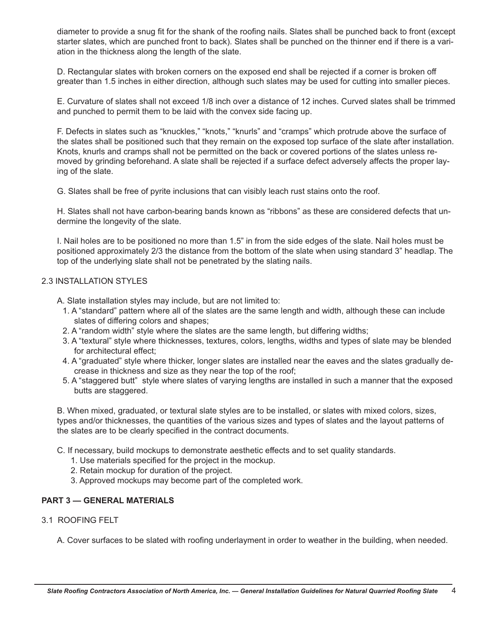diameter to provide a snug fit for the shank of the roofing nails. Slates shall be punched back to front (except starter slates, which are punched front to back). Slates shall be punched on the thinner end if there is a variation in the thickness along the length of the slate.

D. Rectangular slates with broken corners on the exposed end shall be rejected if a corner is broken off greater than 1.5 inches in either direction, although such slates may be used for cutting into smaller pieces.

E. Curvature of slates shall not exceed 1/8 inch over a distance of 12 inches. Curved slates shall be trimmed and punched to permit them to be laid with the convex side facing up.

F. Defects in slates such as "knuckles," "knots," "knurls" and "cramps" which protrude above the surface of the slates shall be positioned such that they remain on the exposed top surface of the slate after installation. Knots, knurls and cramps shall not be permitted on the back or covered portions of the slates unless removed by grinding beforehand. A slate shall be rejected if a surface defect adversely affects the proper laying of the slate.

G. Slates shall be free of pyrite inclusions that can visibly leach rust stains onto the roof.

H. Slates shall not have carbon-bearing bands known as "ribbons" as these are considered defects that undermine the longevity of the slate.

I. Nail holes are to be positioned no more than 1.5" in from the side edges of the slate. Nail holes must be positioned approximately 2/3 the distance from the bottom of the slate when using standard 3" headlap. The top of the underlying slate shall not be penetrated by the slating nails.

# 2.3 INSTALLATION STYLES

A. Slate installation styles may include, but are not limited to:

- 1. A "standard" pattern where all of the slates are the same length and width, although these can include slates of differing colors and shapes;
- 2. A "random width" style where the slates are the same length, but differing widths;
- 3. A "textural" style where thicknesses, textures, colors, lengths, widths and types of slate may be blended for architectural effect;
- 4. A "graduated" style where thicker, longer slates are installed near the eaves and the slates gradually decrease in thickness and size as they near the top of the roof;
- 5. A "staggered butt" style where slates of varying lengths are installed in such a manner that the exposed butts are staggered.

B. When mixed, graduated, or textural slate styles are to be installed, or slates with mixed colors, sizes, types and/or thicknesses, the quantities of the various sizes and types of slates and the layout patterns of the slates are to be clearly specified in the contract documents.

- C. If necessary, build mockups to demonstrate aesthetic effects and to set quality standards.
	- 1. Use materials specified for the project in the mockup.
	- 2. Retain mockup for duration of the project.
	- 3. Approved mockups may become part of the completed work.

### **PART 3 — GENERAL MATERIALS**

### 3.1 ROOFING FELT

A. Cover surfaces to be slated with roofing underlayment in order to weather in the building, when needed.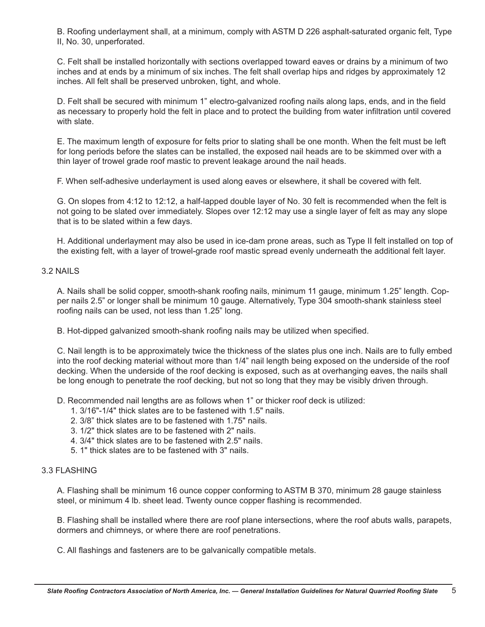B. Roofing underlayment shall, at a minimum, comply with ASTM D 226 asphalt-saturated organic felt, Type II, No. 30, unperforated.

C. Felt shall be installed horizontally with sections overlapped toward eaves or drains by a minimum of two inches and at ends by a minimum of six inches. The felt shall overlap hips and ridges by approximately 12 inches. All felt shall be preserved unbroken, tight, and whole.

D. Felt shall be secured with minimum 1" electro-galvanized roofing nails along laps, ends, and in the field as necessary to properly hold the felt in place and to protect the building from water infiltration until covered with slate.

E. The maximum length of exposure for felts prior to slating shall be one month. When the felt must be left for long periods before the slates can be installed, the exposed nail heads are to be skimmed over with a thin layer of trowel grade roof mastic to prevent leakage around the nail heads.

F. When self-adhesive underlayment is used along eaves or elsewhere, it shall be covered with felt.

G. On slopes from 4:12 to 12:12, a half-lapped double layer of No. 30 felt is recommended when the felt is not going to be slated over immediately. Slopes over 12:12 may use a single layer of felt as may any slope that is to be slated within a few days.

H. Additional underlayment may also be used in ice-dam prone areas, such as Type II felt installed on top of the existing felt, with a layer of trowel-grade roof mastic spread evenly underneath the additional felt layer.

# 3.2 NAILS

A. Nails shall be solid copper, smooth-shank roofing nails, minimum 11 gauge, minimum 1.25" length. Copper nails 2.5" or longer shall be minimum 10 gauge. Alternatively, Type 304 smooth-shank stainless steel roofing nails can be used, not less than 1.25" long.

B. Hot-dipped galvanized smooth-shank roofing nails may be utilized when specified.

C. Nail length is to be approximately twice the thickness of the slates plus one inch. Nails are to fully embed into the roof decking material without more than 1/4" nail length being exposed on the underside of the roof decking. When the underside of the roof decking is exposed, such as at overhanging eaves, the nails shall be long enough to penetrate the roof decking, but not so long that they may be visibly driven through.

D. Recommended nail lengths are as follows when 1" or thicker roof deck is utilized:

- 1. 3/16"-1/4" thick slates are to be fastened with 1.5" nails.
- 2. 3/8" thick slates are to be fastened with 1.75" nails.
- 3. 1/2" thick slates are to be fastened with 2" nails.
- 4. 3/4" thick slates are to be fastened with 2.5" nails.
- 5. 1" thick slates are to be fastened with 3" nails.

### 3.3 FLASHING

A. Flashing shall be minimum 16 ounce copper conforming to ASTM B 370, minimum 28 gauge stainless steel, or minimum 4 lb. sheet lead. Twenty ounce copper flashing is recommended.

B. Flashing shall be installed where there are roof plane intersections, where the roof abuts walls, parapets, dormers and chimneys, or where there are roof penetrations.

C. All flashings and fasteners are to be galvanically compatible metals.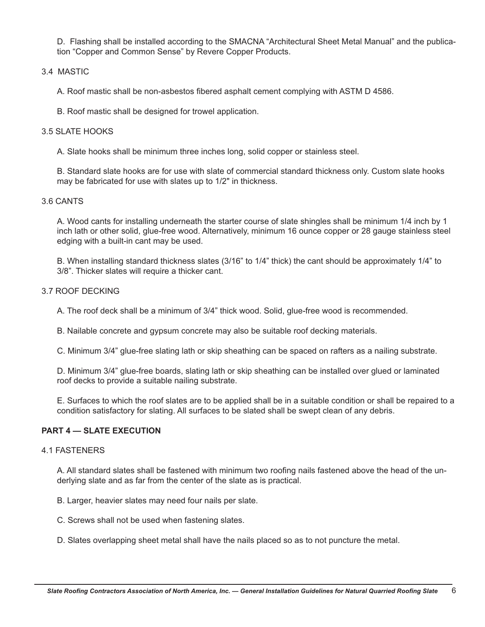D. Flashing shall be installed according to the SMACNA "Architectural Sheet Metal Manual" and the publication "Copper and Common Sense" by Revere Copper Products.

### 3.4 MASTIC

A. Roof mastic shall be non-asbestos fibered asphalt cement complying with ASTM D 4586.

B. Roof mastic shall be designed for trowel application.

#### 3.5 SLATE HOOKS

A. Slate hooks shall be minimum three inches long, solid copper or stainless steel.

B. Standard slate hooks are for use with slate of commercial standard thickness only. Custom slate hooks may be fabricated for use with slates up to 1/2" in thickness.

#### 3.6 CANTS

A. Wood cants for installing underneath the starter course of slate shingles shall be minimum 1/4 inch by 1 inch lath or other solid, glue-free wood. Alternatively, minimum 16 ounce copper or 28 gauge stainless steel edging with a built-in cant may be used.

B. When installing standard thickness slates (3/16" to 1/4" thick) the cant should be approximately 1/4" to 3/8". Thicker slates will require a thicker cant.

#### 3.7 ROOF DECKING

A. The roof deck shall be a minimum of 3/4" thick wood. Solid, glue-free wood is recommended.

B. Nailable concrete and gypsum concrete may also be suitable roof decking materials.

C. Minimum 3/4" glue-free slating lath or skip sheathing can be spaced on rafters as a nailing substrate.

D. Minimum 3/4" glue-free boards, slating lath or skip sheathing can be installed over glued or laminated roof decks to provide a suitable nailing substrate.

E. Surfaces to which the roof slates are to be applied shall be in a suitable condition or shall be repaired to a condition satisfactory for slating. All surfaces to be slated shall be swept clean of any debris.

### **PART 4 — SLATE EXECUTION**

#### 4.1 FASTENERS

A. All standard slates shall be fastened with minimum two roofing nails fastened above the head of the underlying slate and as far from the center of the slate as is practical.

B. Larger, heavier slates may need four nails per slate.

- C. Screws shall not be used when fastening slates.
- D. Slates overlapping sheet metal shall have the nails placed so as to not puncture the metal.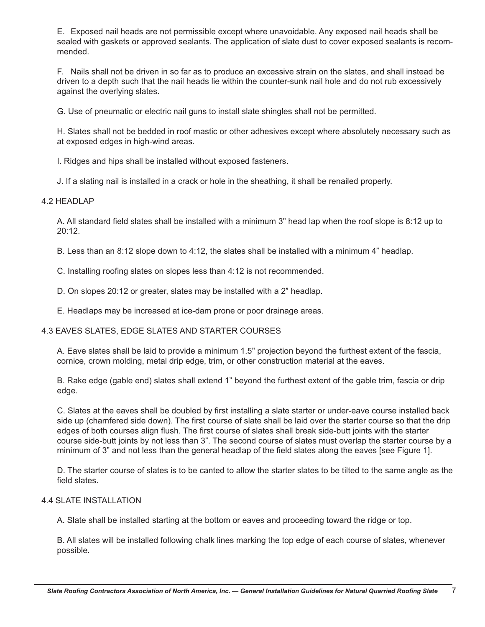E. Exposed nail heads are not permissible except where unavoidable. Any exposed nail heads shall be sealed with gaskets or approved sealants. The application of slate dust to cover exposed sealants is recommended.

F. Nails shall not be driven in so far as to produce an excessive strain on the slates, and shall instead be driven to a depth such that the nail heads lie within the counter-sunk nail hole and do not rub excessively against the overlying slates.

G. Use of pneumatic or electric nail guns to install slate shingles shall not be permitted.

H. Slates shall not be bedded in roof mastic or other adhesives except where absolutely necessary such as at exposed edges in high-wind areas.

I. Ridges and hips shall be installed without exposed fasteners.

J. If a slating nail is installed in a crack or hole in the sheathing, it shall be renailed properly.

### 4.2 HEADLAP

A. All standard field slates shall be installed with a minimum 3" head lap when the roof slope is 8:12 up to 20:12.

B. Less than an 8:12 slope down to 4:12, the slates shall be installed with a minimum 4" headlap.

C. Installing roofing slates on slopes less than 4:12 is not recommended.

D. On slopes 20:12 or greater, slates may be installed with a 2" headlap.

E. Headlaps may be increased at ice-dam prone or poor drainage areas.

# 4.3 EAVES SLATES, EDGE SLATES AND STARTER COURSES

A. Eave slates shall be laid to provide a minimum 1.5" projection beyond the furthest extent of the fascia, cornice, crown molding, metal drip edge, trim, or other construction material at the eaves.

B. Rake edge (gable end) slates shall extend 1" beyond the furthest extent of the gable trim, fascia or drip edge.

C. Slates at the eaves shall be doubled by first installing a slate starter or under-eave course installed back side up (chamfered side down). The first course of slate shall be laid over the starter course so that the drip edges of both courses align flush. The first course of slates shall break side-butt joints with the starter course side-butt joints by not less than 3". The second course of slates must overlap the starter course by a minimum of 3" and not less than the general headlap of the field slates along the eaves [see Figure 1].

D. The starter course of slates is to be canted to allow the starter slates to be tilted to the same angle as the field slates.

### 4.4 SLATE INSTALLATION

A. Slate shall be installed starting at the bottom or eaves and proceeding toward the ridge or top.

B. All slates will be installed following chalk lines marking the top edge of each course of slates, whenever possible.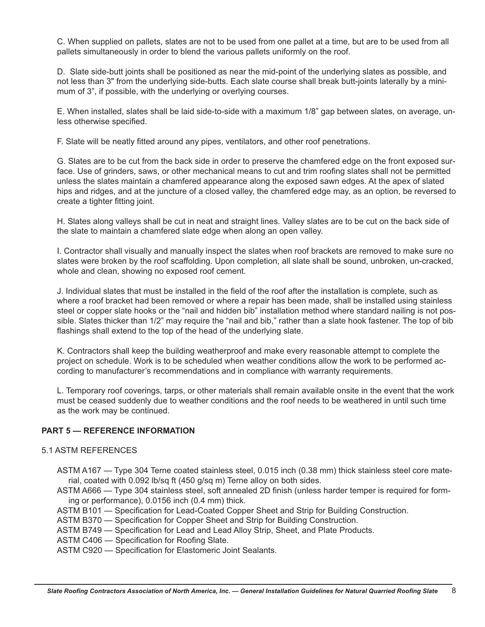C. When supplied on pallets, slates are not to be used from one pallet at a time, but are to be used from all pallets simultaneously in order to blend the various pallets uniformly on the roof.

D. Slate side-butt joints shall be positioned as near the mid-point of the underlying slates as possible, and not less than 3" from the underlying side-butts. Each slate course shall break butt-joints laterally by a minimum of 3", if possible, with the underlying or overlying courses.

E. When installed, slates shall be laid side-to-side with a maximum 1/8" gap between slates, on average, unless otherwise specified.

F. Slate will be neatly fitted around any pipes, ventilators, and other roof penetrations.

G. Slates are to be cut from the back side in order to preserve the chamfered edge on the front exposed surface. Use of grinders, saws, or other mechanical means to cut and trim roofing slates shall not be permitted unless the slates maintain a chamfered appearance along the exposed sawn edges. At the apex of slated hips and ridges, and at the juncture of a closed valley, the chamfered edge may, as an option, be reversed to create a tighter fitting joint.

H. Slates along valleys shall be cut in neat and straight lines. Valley slates are to be cut on the back side of the slate to maintain a chamfered slate edge when along an open valley.

I. Contractor shall visually and manually inspect the slates when roof brackets are removed to make sure no slates were broken by the roof scaffolding. Upon completion, all slate shall be sound, unbroken, un-cracked, whole and clean, showing no exposed roof cement.

J. Individual slates that must be installed in the field of the roof after the installation is complete, such as where a roof bracket had been removed or where a repair has been made, shall be installed using stainless steel or copper slate hooks or the "nail and hidden bib" installation method where standard nailing is not possible. Slates thicker than 1/2" may require the "nail and bib," rather than a slate hook fastener. The top of bib flashings shall extend to the top of the head of the underlying slate.

K. Contractors shall keep the building weatherproof and make every reasonable attempt to complete the project on schedule. Work is to be scheduled when weather conditions allow the work to be performed according to manufacturer's recommendations and in compliance with warranty requirements.

L. Temporary roof coverings, tarps, or other materials shall remain available onsite in the event that the work must be ceased suddenly due to weather conditions and the roof needs to be weathered in until such time as the work may be continued.

### **PART 5 — REFERENCE INFORMATION**

#### 5.1 ASTM REFERENCES

- ASTM A167 Type 304 Terne coated stainless steel, 0.015 inch (0.38 mm) thick stainless steel core material, coated with 0.092 lb/sq ft (450 g/sq m) Terne alloy on both sides.
- ASTM A666 Type 304 stainless steel, soft annealed 2D finish (unless harder temper is required for forming or performance), 0.0156 inch (0.4 mm) thick.
- ASTM B101 Specification for Lead-Coated Copper Sheet and Strip for Building Construction.
- ASTM B370 Specification for Copper Sheet and Strip for Building Construction.
- ASTM B749 Specification for Lead and Lead Alloy Strip, Sheet, and Plate Products.
- ASTM C406 Specification for Roofing Slate.
- ASTM C920 Specification for Elastomeric Joint Sealants.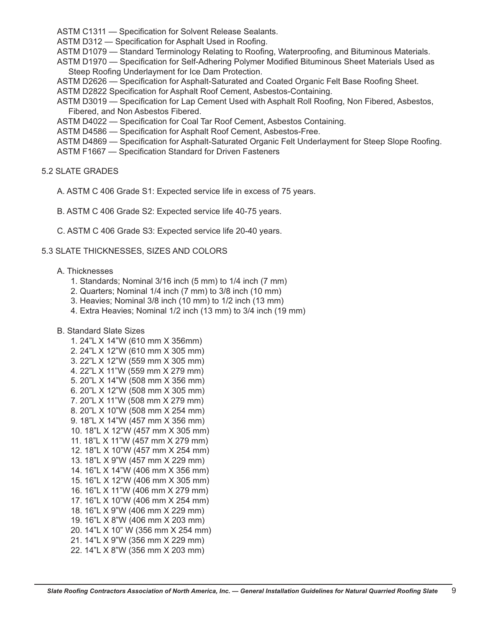ASTM C1311 — Specification for Solvent Release Sealants.

ASTM D312 — Specification for Asphalt Used in Roofing.

ASTM D1079 — Standard Terminology Relating to Roofing, Waterproofing, and Bituminous Materials.

ASTM D1970 — Specification for Self-Adhering Polymer Modified Bituminous Sheet Materials Used as Steep Roofing Underlayment for Ice Dam Protection.

ASTM D2626 — Specification for Asphalt-Saturated and Coated Organic Felt Base Roofing Sheet.

ASTM D2822 Specification for Asphalt Roof Cement, Asbestos-Containing.

ASTM D3019 — Specification for Lap Cement Used with Asphalt Roll Roofing, Non Fibered, Asbestos, Fibered, and Non Asbestos Fibered.

ASTM D4022 - Specification for Coal Tar Roof Cement, Asbestos Containing.

ASTM D4586 — Specification for Asphalt Roof Cement, Asbestos-Free.

ASTM D4869 — Specification for Asphalt-Saturated Organic Felt Underlayment for Steep Slope Roofing.

ASTM F1667 — Specification Standard for Driven Fasteners

### 5.2 SLATE GRADES

A. ASTM C 406 Grade S1: Expected service life in excess of 75 years.

B. ASTM C 406 Grade S2: Expected service life 40-75 years.

C. ASTM C 406 Grade S3: Expected service life 20-40 years.

### 5.3 SLATE THICKNESSES, SIZES AND COLORS

#### A. Thicknesses

- 1. Standards; Nominal 3/16 inch (5 mm) to 1/4 inch (7 mm)
- 2. Quarters; Nominal 1/4 inch (7 mm) to 3/8 inch (10 mm)
- 3. Heavies; Nominal 3/8 inch (10 mm) to 1/2 inch (13 mm)
- 4. Extra Heavies; Nominal 1/2 inch (13 mm) to 3/4 inch (19 mm)
- B. Standard Slate Sizes
	- 1. 24"L X 14"W (610 mm X 356mm) 2. 24"L X 12"W (610 mm X 305 mm) 3. 22"L X 12"W (559 mm X 305 mm) 4. 22"L X 11"W (559 mm X 279 mm) 5. 20"L X 14"W (508 mm X 356 mm) 6. 20"L X 12"W (508 mm X 305 mm) 7. 20"L X 11"W (508 mm X 279 mm) 8. 20"L X 10"W (508 mm X 254 mm) 9. 18"L X 14"W (457 mm X 356 mm) 10. 18"L X 12"W (457 mm X 305 mm) 11. 18"L X 11"W (457 mm X 279 mm) 12. 18"L X 10"W (457 mm X 254 mm) 13. 18"L X 9"W (457 mm X 229 mm) 14. 16"L X 14"W (406 mm X 356 mm) 15. 16"L X 12"W (406 mm X 305 mm) 16. 16"L X 11"W (406 mm X 279 mm) 17. 16"L X 10"W (406 mm X 254 mm) 18. 16"L X 9"W (406 mm X 229 mm) 19. 16"L X 8"W (406 mm X 203 mm) 20. 14"L X 10" W (356 mm X 254 mm) 21. 14"L X 9"W (356 mm X 229 mm) 22. 14"L X 8"W (356 mm X 203 mm)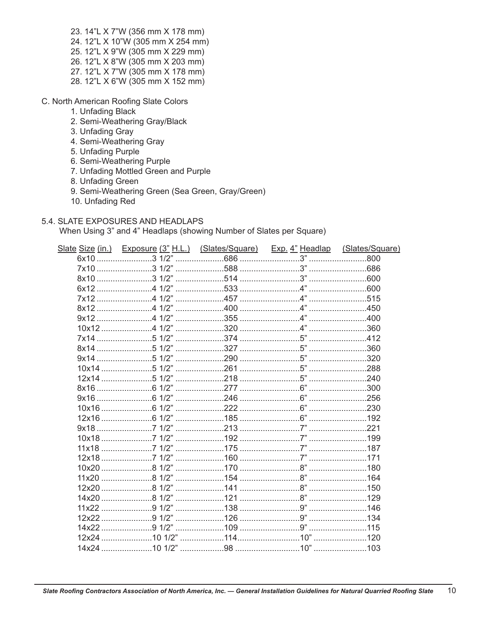- 23. 14"L X 7"W (356 mm X 178 mm) 24. 12"L X 10"W (305 mm X 254 mm) 25. 12"L X 9"W (305 mm X 229 mm) 26. 12"L X 8"W (305 mm X 203 mm) 27. 12"L X 7"W (305 mm X 178 mm) 28. 12"L X 6"W (305 mm X 152 mm)
- C. North American Roofing Slate Colors
	- 1. Unfading Black
	- 2. Semi-Weathering Gray/Black
	- 3. Unfading Gray
	- 4. Semi-Weathering Gray
	- 5. Unfading Purple
	- 6. Semi-Weathering Purple
	- 7. Unfading Mottled Green and Purple
	- 8. Unfading Green
	- 9. Semi-Weathering Green (Sea Green, Gray/Green)
	- 10. Unfading Red

### 5.4. SLATE EXPOSURES AND HEADLAPS

When Using 3" and 4" Headlaps (showing Number of Slates per Square)

| Slate Size (in.) Exposure (3" H.L.) (Slates/Square) Exp. 4" Headlap (Slates/Square) |  |     |
|-------------------------------------------------------------------------------------|--|-----|
|                                                                                     |  |     |
|                                                                                     |  |     |
|                                                                                     |  |     |
|                                                                                     |  |     |
|                                                                                     |  |     |
|                                                                                     |  |     |
|                                                                                     |  |     |
|                                                                                     |  |     |
|                                                                                     |  |     |
|                                                                                     |  |     |
|                                                                                     |  |     |
|                                                                                     |  |     |
|                                                                                     |  |     |
|                                                                                     |  |     |
|                                                                                     |  |     |
|                                                                                     |  |     |
|                                                                                     |  |     |
|                                                                                     |  |     |
|                                                                                     |  |     |
|                                                                                     |  |     |
|                                                                                     |  |     |
|                                                                                     |  |     |
|                                                                                     |  |     |
|                                                                                     |  |     |
|                                                                                     |  |     |
|                                                                                     |  |     |
|                                                                                     |  |     |
|                                                                                     |  |     |
|                                                                                     |  |     |
|                                                                                     |  | 103 |